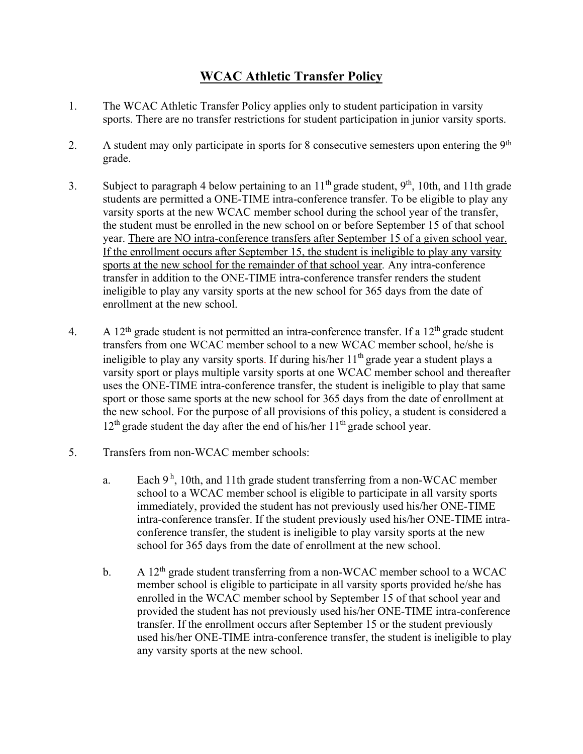## **WCAC Athletic Transfer Policy**

- 1. The WCAC Athletic Transfer Policy applies only to student participation in varsity sports. There are no transfer restrictions for student participation in junior varsity sports.
- 2. A student may only participate in sports for 8 consecutive semesters upon entering the 9<sup>th</sup> grade.
- 3. Subject to paragraph 4 below pertaining to an  $11^{th}$  grade student,  $9^{th}$ , 10th, and 11th grade students are permitted a ONE-TIME intra-conference transfer. To be eligible to play any varsity sports at the new WCAC member school during the school year of the transfer, the student must be enrolled in the new school on or before September 15 of that school year. There are NO intra-conference transfers after September 15 of a given school year. If the enrollment occurs after September 15, the student is ineligible to play any varsity sports at the new school for the remainder of that school year*.* Any intra-conference transfer in addition to the ONE-TIME intra-conference transfer renders the student ineligible to play any varsity sports at the new school for 365 days from the date of enrollment at the new school.
- 4. A  $12<sup>th</sup>$  grade student is not permitted an intra-conference transfer. If a  $12<sup>th</sup>$  grade student transfers from one WCAC member school to a new WCAC member school, he/she is ineligible to play any varsity sports. If during his/her  $11<sup>th</sup>$  grade year a student plays a varsity sport or plays multiple varsity sports at one WCAC member school and thereafter uses the ONE-TIME intra-conference transfer, the student is ineligible to play that same sport or those same sports at the new school for 365 days from the date of enrollment at the new school. For the purpose of all provisions of this policy, a student is considered a  $12<sup>th</sup>$  grade student the day after the end of his/her  $11<sup>th</sup>$  grade school year.
- 5. Transfers from non-WCAC member schools:
	- a. Each  $9^{\text{h}}$ , 10th, and 11th grade student transferring from a non-WCAC member school to a WCAC member school is eligible to participate in all varsity sports immediately, provided the student has not previously used his/her ONE-TIME intra-conference transfer. If the student previously used his/her ONE-TIME intraconference transfer, the student is ineligible to play varsity sports at the new school for 365 days from the date of enrollment at the new school.
	- b. A  $12<sup>th</sup>$  grade student transferring from a non-WCAC member school to a WCAC member school is eligible to participate in all varsity sports provided he/she has enrolled in the WCAC member school by September 15 of that school year and provided the student has not previously used his/her ONE-TIME intra-conference transfer. If the enrollment occurs after September 15 or the student previously used his/her ONE-TIME intra-conference transfer, the student is ineligible to play any varsity sports at the new school.